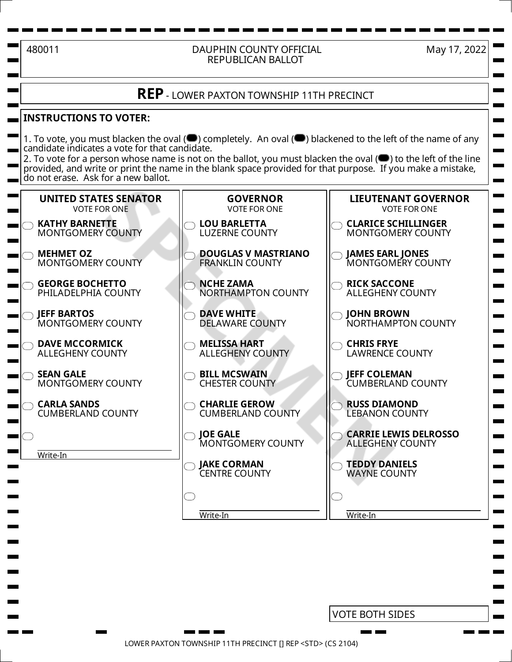## 480011 DAUPHIN COUNTY OFFICIAL REPUBLICAN BALLOT

May 17, 2022

## **REP**- LOWER PAXTON TOWNSHIP 11TH PRECINCT

## **INSTRUCTIONS TO VOTER:**

1. To vote, you must blacken the oval ( $\blacksquare$ ) completely. An oval ( $\blacksquare$ ) blackened to the left of the name of any candidate indicates a vote for that candidate.

2. To vote for a person whose name is not on the ballot, you must blacken the oval ( $\blacksquare$ ) to the left of the line provided, and write or print the name in the blank space provided for that purpose. If you make a mistake, do not erase. Ask for a new ballot.



VOTE BOTH SIDES